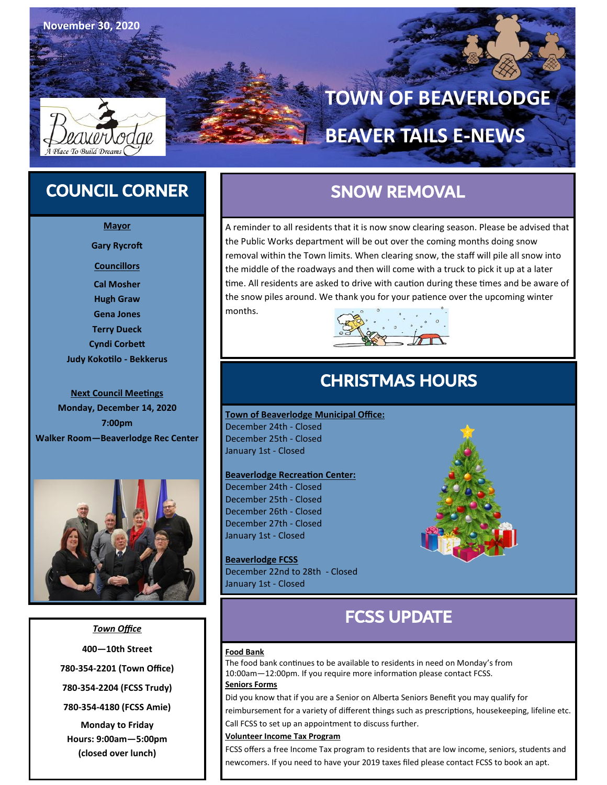

**November 30, 2020**

# **TOWN OF BEAVERLODGE**

## **BEAVER TAILS E-NEWS**

### COUNCIL CORNER

- **Mayor**
- **Gary Rycroft**
- **Councillors**
- **Cal Mosher Hugh Graw Gena Jones Terry Dueck Cyndi Corbett Judy Kokotilo - Bekkerus**

#### **Next Council Meetings**

**Monday, December 14, 2020 7:00pm Walker Room—Beaverlodge Rec Center**



*Town Office* **400—10th Street 780-354-2201 (Town Office) 780-354-2204 (FCSS Trudy) 780-354-4180 (FCSS Amie) Monday to Friday Hours: 9:00am—5:00pm** 

**(closed over lunch)**

### SNOW REMOVAL

A reminder to all residents that it is now snow clearing season. Please be advised that the Public Works department will be out over the coming months doing snow removal within the Town limits. When clearing snow, the staff will pile all snow into the middle of the roadways and then will come with a truck to pick it up at a later time. All residents are asked to drive with caution during these times and be aware of the snow piles around. We thank you for your patience over the upcoming winter months.



### CHRISTMAS HOURS

**Town of Beaverlodge Municipal Office:**  December 24th - Closed December 25th - Closed January 1st - Closed

#### **Beaverlodge Recreation Center:**

December 24th - Closed December 25th - Closed December 26th - Closed December 27th - Closed January 1st - Closed

**Beaverlodge FCSS** December 22nd to 28th - Closed January 1st - Closed



### FCSS UPDATE

#### **Food Bank**

The food bank continues to be available to residents in need on Monday's from 10:00am—12:00pm. If you require more information please contact FCSS.

### **Seniors Forms**

Did you know that if you are a Senior on Alberta Seniors Benefit you may qualify for

reimbursement for a variety of different things such as prescriptions, housekeeping, lifeline etc. Call FCSS to set up an appointment to discuss further.

#### **Volunteer Income Tax Program**

FCSS offers a free Income Tax program to residents that are low income, seniors, students and newcomers. If you need to have your 2019 taxes filed please contact FCSS to book an apt.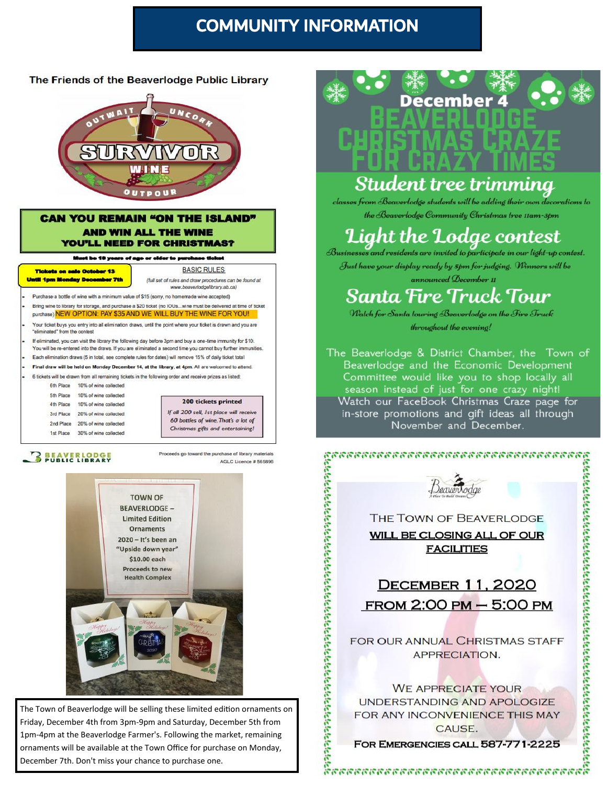### **COMMUNITY INFORMATION**

#### The Friends of the Beaverlodge Public Library



#### **CAN YOU REMAIN "ON THE ISLAND" AND WIN ALL THE WINE YOU'LL NEED FOR CHRISTMAS?**

Must be 18 years of see or older to purchase ticket

October 13 Tiek **Until 1pm Mc** 

**BASIC RULES** (full set of rules and draw procedures can be found at www.beaverlodgelibrary.ab.ca)

Purchase a bottle of wine with a minimum value of \$15 (sorry, no homemade wine accepted) Bring wine to library for storage, and purchase a \$20 ficket (no IOUs...wine must be delivered at time of ticket purchase) NEW OPTION: PAY \$35 AND WE WILL BUY THE WINE FOR YOU!

Your ficket buys you entry into all elimination draws, until the point where your ticket is drawn and you are "eliminated" from the contest

If eliminated, you can visit the library the following day before 3pm and buy a one-time immunity for \$10. You will be re-entered into the draws. If you are eliminated a second time you cannot buy further immunities Each elimination draws (5 in total, see complete rules for dates) will remove 15% of daily ticket total

Final draw will be held on Monday December 14, at the library, at 4pm. All are welcomed to attend. 6 tickets will be drawn from all remaining tickets in the following order and receive prizes as listed:

6th Place 10% of wine collected

5th Place 10% of wine collected 10% of wine collected 4th Place 3rd Place 20% of wine collected 2nd Place 20% of wine collected 1st Place 30% of wine collected



### **BEAVERLODGE**

Proceeds go toward the purchase of library materials AGLC Licence # 565896



The Town of Beaverlodge will be selling these limited edition ornaments on Friday, December 4th from 3pm-9pm and Saturday, December 5th from 1pm-4pm at the Beaverlodge Farmer's. Following the market, remaining ornaments will be available at the Town Office for purchase on Monday, December 7th. Don't miss your chance to purchase one.



## Student tree trimmina

classes from Beaverlodge students will be adding their own decorations to the Beaverlodge Community Christmas tree 11am-3pm

# Light the Lodge contest<br>Businesses and residents are invited to participate in our light-up contest.

Just have your display ready by 5pm for judging. Winners will be announced December 11

## Santa Fire Truck Tour

Watch for Santa touring Beaverlodge on the Fire Truck throughout the evening!

The Beaverlodge & District Chamber, the Town of Beaverlodge and the Economic Development Committee would like you to shop locally all season instead of just for one crazy night! Watch our FaceBook Christmas Craze page for in-store promotions and gift ideas all through November and December.



FREER CONTRACTOR CALL SERVER CAN THE TOWN OF BEAVERLODGE<br>
THE TOWN OF BEAVERLODGE<br>
WILL BE CLOSING ALL OF OUR<br>
FACILITIES<br>
DECEMBER 11, 2020<br>
FROM 2:00 PM – 5:00 PM<br>
FOR OUR ANNUAL CHRISTMAS STAFF<br>
APPRECIATION.<br>
WE APPREC FREER CAUSE.<br>
THE TOWN OF BEAVERLODGE<br>
MILL BE CLOSING ALL OF OUR<br>
FACILITIES<br>
DECEMBER 11, 2020<br>
FROM 2:00 PM – 5:00 PM<br>
FOR OUR ANNUAL CHRISTMAS STAFF<br>
APPRECIATION.<br>
WE APPRECIATE YOUR<br>
FOR OUR ANNUAL CHRISTMAS STAFF<br>
A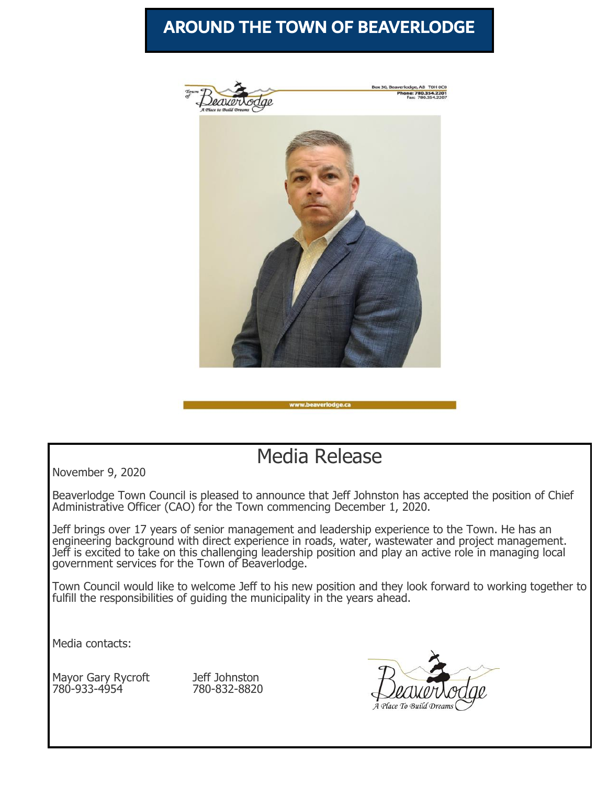### AROUND THE TOWN OF BEAVERLODGE



### Media Release

November 9, 2020

Beaverlodge Town Council is pleased to announce that Jeff Johnston has accepted the position of Chief Administrative Officer (CAO) for the Town commencing December 1, 2020.

Jeff brings over 17 years of senior management and leadership experience to the Town. He has an engineering background with direct experience in roads, water, wastewater and project management. Jeff is excited to take on this challenging leadership position and play an active role in managing local government services for the Town of Beaverlodge.

Town Council would like to welcome Jeff to his new position and they look forward to working together to fulfill the responsibilities of guiding the municipality in the years ahead.

Media contacts:

Mayor Gary Rycroft Jeff Johnston 780-933-4954